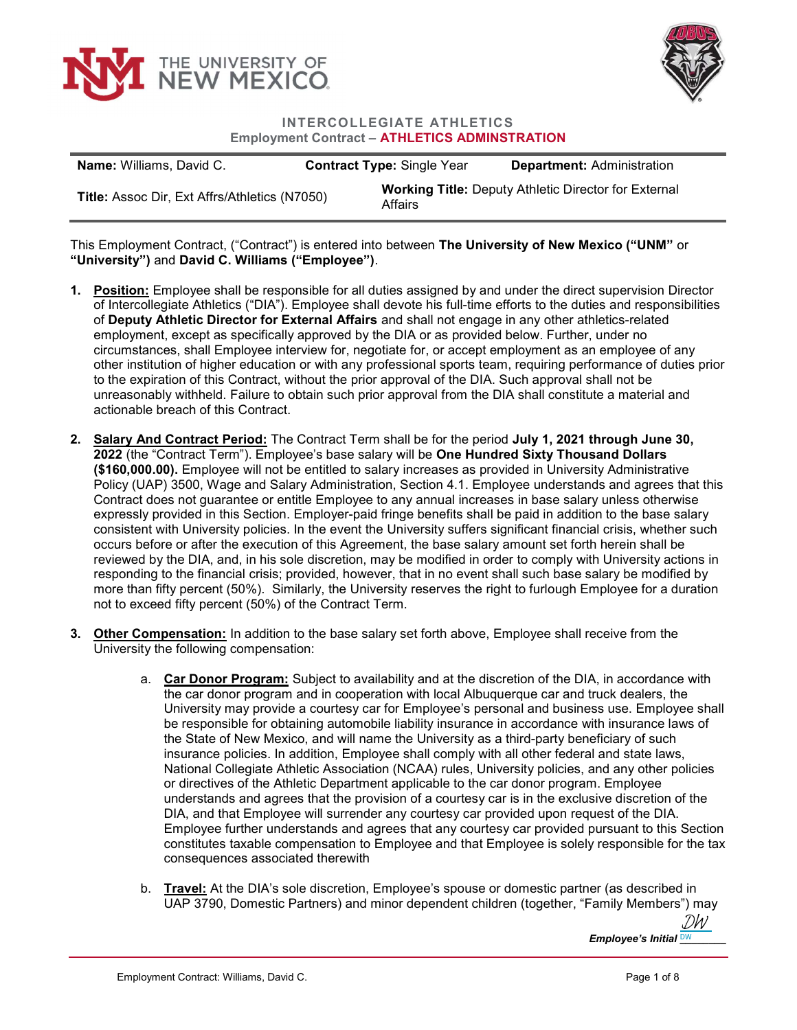



INTERCOLLEGIATE ATHLETICS Employment Contract – ATHLETICS ADMINSTRATION

| <b>Name:</b> Williams, David C.               | <b>Contract Type: Single Year</b> | <b>Department: Administration</b>                           |
|-----------------------------------------------|-----------------------------------|-------------------------------------------------------------|
| Title: Assoc Dir, Ext Affrs/Athletics (N7050) | Affairs                           | <b>Working Title: Deputy Athletic Director for External</b> |

This Employment Contract, ("Contract") is entered into between The University of New Mexico ("UNM" or "University") and David C. Williams ("Employee").

- 1. Position: Employee shall be responsible for all duties assigned by and under the direct supervision Director of Intercollegiate Athletics ("DIA"). Employee shall devote his full-time efforts to the duties and responsibilities of Deputy Athletic Director for External Affairs and shall not engage in any other athletics-related employment, except as specifically approved by the DIA or as provided below. Further, under no circumstances, shall Employee interview for, negotiate for, or accept employment as an employee of any other institution of higher education or with any professional sports team, requiring performance of duties prior to the expiration of this Contract, without the prior approval of the DIA. Such approval shall not be unreasonably withheld. Failure to obtain such prior approval from the DIA shall constitute a material and actionable breach of this Contract.
- 2. Salary And Contract Period: The Contract Term shall be for the period July 1, 2021 through June 30, 2022 (the "Contract Term"). Employee's base salary will be One Hundred Sixty Thousand Dollars (\$160,000.00). Employee will not be entitled to salary increases as provided in University Administrative Policy (UAP) 3500, Wage and Salary Administration, Section 4.1. Employee understands and agrees that this Contract does not guarantee or entitle Employee to any annual increases in base salary unless otherwise expressly provided in this Section. Employer-paid fringe benefits shall be paid in addition to the base salary consistent with University policies. In the event the University suffers significant financial crisis, whether such occurs before or after the execution of this Agreement, the base salary amount set forth herein shall be reviewed by the DIA, and, in his sole discretion, may be modified in order to comply with University actions in responding to the financial crisis; provided, however, that in no event shall such base salary be modified by more than fifty percent (50%). Similarly, the University reserves the right to furlough Employee for a duration not to exceed fifty percent (50%) of the Contract Term.
- 3. Other Compensation: In addition to the base salary set forth above, Employee shall receive from the University the following compensation:
	- a. Car Donor Program: Subject to availability and at the discretion of the DIA, in accordance with the car donor program and in cooperation with local Albuquerque car and truck dealers, the University may provide a courtesy car for Employee's personal and business use. Employee shall be responsible for obtaining automobile liability insurance in accordance with insurance laws of the State of New Mexico, and will name the University as a third-party beneficiary of such insurance policies. In addition, Employee shall comply with all other federal and state laws, National Collegiate Athletic Association (NCAA) rules, University policies, and any other policies or directives of the Athletic Department applicable to the car donor program. Employee understands and agrees that the provision of a courtesy car is in the exclusive discretion of the DIA, and that Employee will surrender any courtesy car provided upon request of the DIA. Employee further understands and agrees that any courtesy car provided pursuant to this Section constitutes taxable compensation to Employee and that Employee is solely responsible for the tax consequences associated therewith
	- b. Travel: At the DIA's sole discretion, Employee's spouse or domestic partner (as described in UAP 3790, Domestic Partners) and minor dependent children (together, "Family Members") may

Employee's Initial <u>DW \_\_\_\_\_</u> [DW](https://secure.na2.echosign.com/verifier?tx=CBJCHBCAABAAiNy1Fm5d1bfjwRi0e9XxeUjXQKE8q880)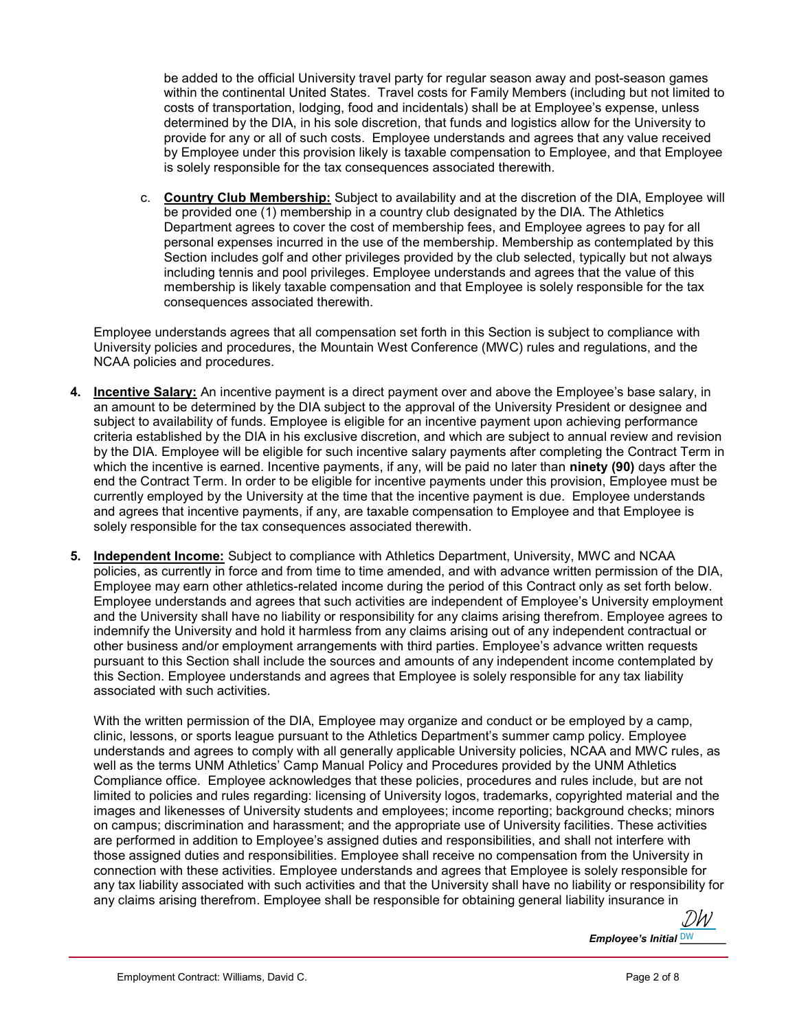be added to the official University travel party for regular season away and post-season games within the continental United States. Travel costs for Family Members (including but not limited to costs of transportation, lodging, food and incidentals) shall be at Employee's expense, unless determined by the DIA, in his sole discretion, that funds and logistics allow for the University to provide for any or all of such costs. Employee understands and agrees that any value received by Employee under this provision likely is taxable compensation to Employee, and that Employee is solely responsible for the tax consequences associated therewith.

c. Country Club Membership: Subject to availability and at the discretion of the DIA, Employee will be provided one (1) membership in a country club designated by the DIA. The Athletics Department agrees to cover the cost of membership fees, and Employee agrees to pay for all personal expenses incurred in the use of the membership. Membership as contemplated by this Section includes golf and other privileges provided by the club selected, typically but not always including tennis and pool privileges. Employee understands and agrees that the value of this membership is likely taxable compensation and that Employee is solely responsible for the tax consequences associated therewith.

Employee understands agrees that all compensation set forth in this Section is subject to compliance with University policies and procedures, the Mountain West Conference (MWC) rules and regulations, and the NCAA policies and procedures.

- 4. Incentive Salary: An incentive payment is a direct payment over and above the Employee's base salary, in an amount to be determined by the DIA subject to the approval of the University President or designee and subject to availability of funds. Employee is eligible for an incentive payment upon achieving performance criteria established by the DIA in his exclusive discretion, and which are subject to annual review and revision by the DIA. Employee will be eligible for such incentive salary payments after completing the Contract Term in which the incentive is earned. Incentive payments, if any, will be paid no later than ninety (90) days after the end the Contract Term. In order to be eligible for incentive payments under this provision, Employee must be currently employed by the University at the time that the incentive payment is due. Employee understands and agrees that incentive payments, if any, are taxable compensation to Employee and that Employee is solely responsible for the tax consequences associated therewith.
- 5. Independent Income: Subject to compliance with Athletics Department, University, MWC and NCAA policies, as currently in force and from time to time amended, and with advance written permission of the DIA, Employee may earn other athletics-related income during the period of this Contract only as set forth below. Employee understands and agrees that such activities are independent of Employee's University employment and the University shall have no liability or responsibility for any claims arising therefrom. Employee agrees to indemnify the University and hold it harmless from any claims arising out of any independent contractual or other business and/or employment arrangements with third parties. Employee's advance written requests pursuant to this Section shall include the sources and amounts of any independent income contemplated by this Section. Employee understands and agrees that Employee is solely responsible for any tax liability associated with such activities.

With the written permission of the DIA, Employee may organize and conduct or be employed by a camp, clinic, lessons, or sports league pursuant to the Athletics Department's summer camp policy. Employee understands and agrees to comply with all generally applicable University policies, NCAA and MWC rules, as well as the terms UNM Athletics' Camp Manual Policy and Procedures provided by the UNM Athletics Compliance office. Employee acknowledges that these policies, procedures and rules include, but are not limited to policies and rules regarding: licensing of University logos, trademarks, copyrighted material and the images and likenesses of University students and employees; income reporting; background checks; minors on campus; discrimination and harassment; and the appropriate use of University facilities. These activities are performed in addition to Employee's assigned duties and responsibilities, and shall not interfere with those assigned duties and responsibilities. Employee shall receive no compensation from the University in connection with these activities. Employee understands and agrees that Employee is solely responsible for any tax liability associated with such activities and that the University shall have no liability or responsibility for any claims arising therefrom. Employee shall be responsible for obtaining general liability insurance in

Employee's Initial <u>DW\_\_\_\_\_\_</u> [DW](https://secure.na2.echosign.com/verifier?tx=CBJCHBCAABAAiNy1Fm5d1bfjwRi0e9XxeUjXQKE8q880)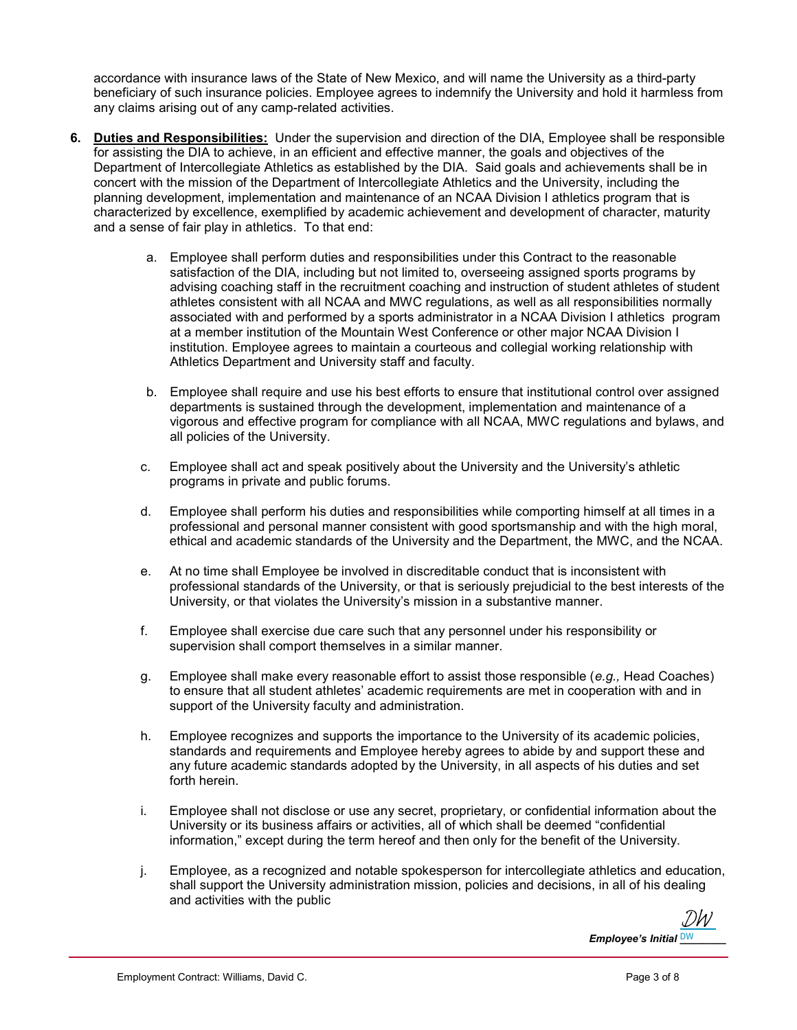accordance with insurance laws of the State of New Mexico, and will name the University as a third-party beneficiary of such insurance policies. Employee agrees to indemnify the University and hold it harmless from any claims arising out of any camp-related activities.

- 6. Duties and Responsibilities: Under the supervision and direction of the DIA, Employee shall be responsible for assisting the DIA to achieve, in an efficient and effective manner, the goals and objectives of the Department of Intercollegiate Athletics as established by the DIA. Said goals and achievements shall be in concert with the mission of the Department of Intercollegiate Athletics and the University, including the planning development, implementation and maintenance of an NCAA Division I athletics program that is characterized by excellence, exemplified by academic achievement and development of character, maturity and a sense of fair play in athletics. To that end:
	- a. Employee shall perform duties and responsibilities under this Contract to the reasonable satisfaction of the DIA, including but not limited to, overseeing assigned sports programs by advising coaching staff in the recruitment coaching and instruction of student athletes of student athletes consistent with all NCAA and MWC regulations, as well as all responsibilities normally associated with and performed by a sports administrator in a NCAA Division I athletics program at a member institution of the Mountain West Conference or other major NCAA Division I institution. Employee agrees to maintain a courteous and collegial working relationship with Athletics Department and University staff and faculty.
	- b. Employee shall require and use his best efforts to ensure that institutional control over assigned departments is sustained through the development, implementation and maintenance of a vigorous and effective program for compliance with all NCAA, MWC regulations and bylaws, and all policies of the University.
	- c. Employee shall act and speak positively about the University and the University's athletic programs in private and public forums.
	- d. Employee shall perform his duties and responsibilities while comporting himself at all times in a professional and personal manner consistent with good sportsmanship and with the high moral, ethical and academic standards of the University and the Department, the MWC, and the NCAA.
	- e. At no time shall Employee be involved in discreditable conduct that is inconsistent with professional standards of the University, or that is seriously prejudicial to the best interests of the University, or that violates the University's mission in a substantive manner.
	- f. Employee shall exercise due care such that any personnel under his responsibility or supervision shall comport themselves in a similar manner.
	- g. Employee shall make every reasonable effort to assist those responsible  $(e.g., Head Coaches)$ to ensure that all student athletes' academic requirements are met in cooperation with and in support of the University faculty and administration.
	- h. Employee recognizes and supports the importance to the University of its academic policies, standards and requirements and Employee hereby agrees to abide by and support these and any future academic standards adopted by the University, in all aspects of his duties and set forth herein.
	- i. Employee shall not disclose or use any secret, proprietary, or confidential information about the University or its business affairs or activities, all of which shall be deemed "confidential information," except during the term hereof and then only for the benefit of the University.
	- j. Employee, as a recognized and notable spokesperson for intercollegiate athletics and education, shall support the University administration mission, policies and decisions, in all of his dealing and activities with the public

Employee's Initial <u>DW\_\_\_\_\_\_</u> [DW](https://secure.na2.echosign.com/verifier?tx=CBJCHBCAABAAiNy1Fm5d1bfjwRi0e9XxeUjXQKE8q880)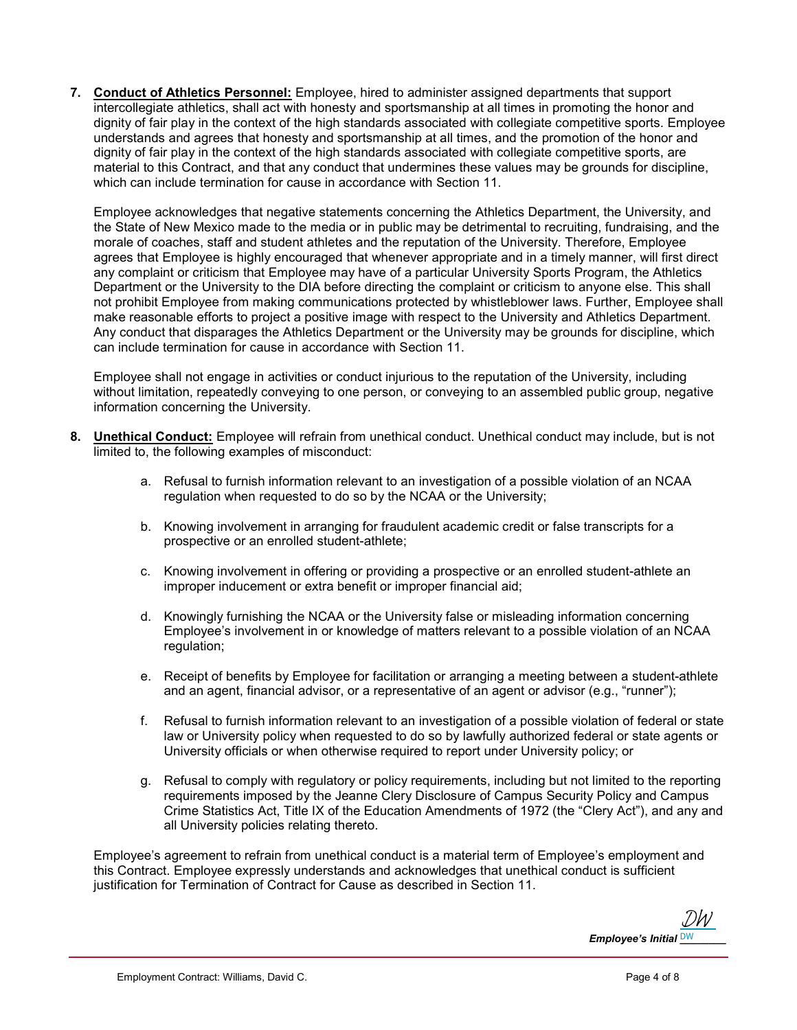7. Conduct of Athletics Personnel: Employee, hired to administer assigned departments that support intercollegiate athletics, shall act with honesty and sportsmanship at all times in promoting the honor and dignity of fair play in the context of the high standards associated with collegiate competitive sports. Employee understands and agrees that honesty and sportsmanship at all times, and the promotion of the honor and dignity of fair play in the context of the high standards associated with collegiate competitive sports, are material to this Contract, and that any conduct that undermines these values may be grounds for discipline, which can include termination for cause in accordance with Section 11.

Employee acknowledges that negative statements concerning the Athletics Department, the University, and the State of New Mexico made to the media or in public may be detrimental to recruiting, fundraising, and the morale of coaches, staff and student athletes and the reputation of the University. Therefore, Employee agrees that Employee is highly encouraged that whenever appropriate and in a timely manner, will first direct any complaint or criticism that Employee may have of a particular University Sports Program, the Athletics Department or the University to the DIA before directing the complaint or criticism to anyone else. This shall not prohibit Employee from making communications protected by whistleblower laws. Further, Employee shall make reasonable efforts to project a positive image with respect to the University and Athletics Department. Any conduct that disparages the Athletics Department or the University may be grounds for discipline, which can include termination for cause in accordance with Section 11.

Employee shall not engage in activities or conduct injurious to the reputation of the University, including without limitation, repeatedly conveying to one person, or conveying to an assembled public group, negative information concerning the University.

- 8. Unethical Conduct: Employee will refrain from unethical conduct. Unethical conduct may include, but is not limited to, the following examples of misconduct:
	- a. Refusal to furnish information relevant to an investigation of a possible violation of an NCAA regulation when requested to do so by the NCAA or the University;
	- b. Knowing involvement in arranging for fraudulent academic credit or false transcripts for a prospective or an enrolled student-athlete;
	- c. Knowing involvement in offering or providing a prospective or an enrolled student-athlete an improper inducement or extra benefit or improper financial aid;
	- d. Knowingly furnishing the NCAA or the University false or misleading information concerning Employee's involvement in or knowledge of matters relevant to a possible violation of an NCAA regulation:
	- e. Receipt of benefits by Employee for facilitation or arranging a meeting between a student-athlete and an agent, financial advisor, or a representative of an agent or advisor (e.g., "runner");
	- f. Refusal to furnish information relevant to an investigation of a possible violation of federal or state law or University policy when requested to do so by lawfully authorized federal or state agents or University officials or when otherwise required to report under University policy; or
	- g. Refusal to comply with regulatory or policy requirements, including but not limited to the reporting requirements imposed by the Jeanne Clery Disclosure of Campus Security Policy and Campus Crime Statistics Act, Title IX of the Education Amendments of 1972 (the "Clery Act"), and any and all University policies relating thereto.

Employee's agreement to refrain from unethical conduct is a material term of Employee's employment and this Contract. Employee expressly understands and acknowledges that unethical conduct is sufficient justification for Termination of Contract for Cause as described in Section 11.

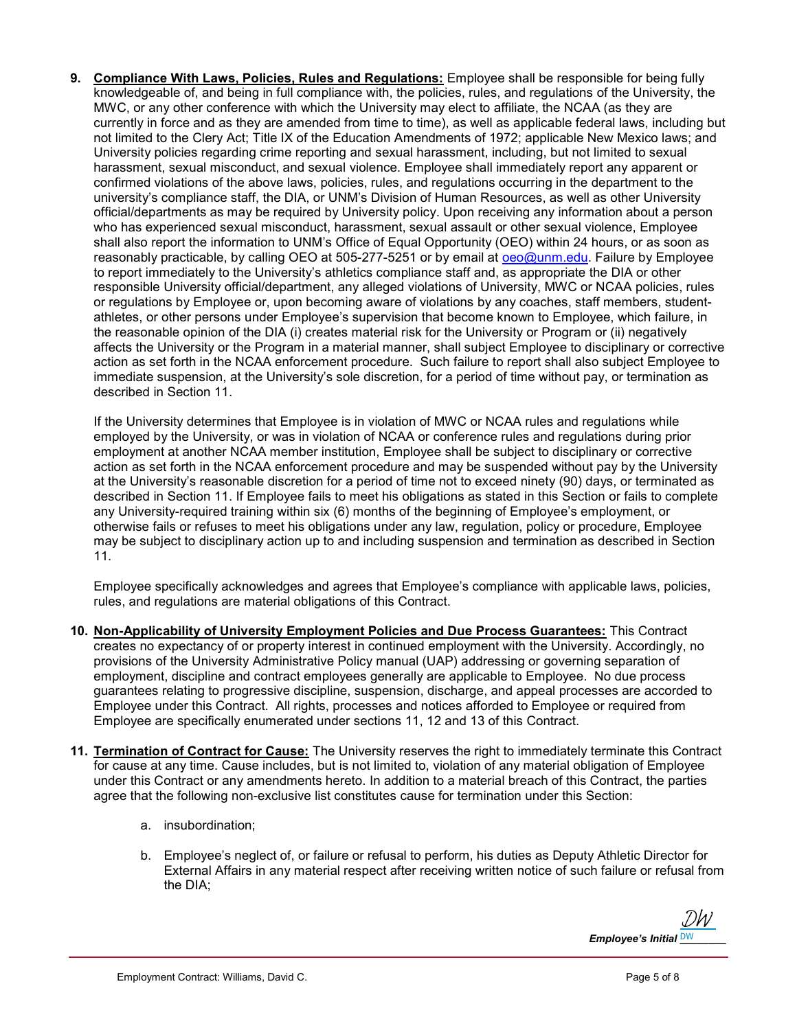9. Compliance With Laws, Policies, Rules and Regulations: Employee shall be responsible for being fully knowledgeable of, and being in full compliance with, the policies, rules, and regulations of the University, the MWC, or any other conference with which the University may elect to affiliate, the NCAA (as they are currently in force and as they are amended from time to time), as well as applicable federal laws, including but not limited to the Clery Act; Title IX of the Education Amendments of 1972; applicable New Mexico laws; and University policies regarding crime reporting and sexual harassment, including, but not limited to sexual harassment, sexual misconduct, and sexual violence. Employee shall immediately report any apparent or confirmed violations of the above laws, policies, rules, and regulations occurring in the department to the university's compliance staff, the DIA, or UNM's Division of Human Resources, as well as other University official/departments as may be required by University policy. Upon receiving any information about a person who has experienced sexual misconduct, harassment, sexual assault or other sexual violence, Employee shall also report the information to UNM's Office of Equal Opportunity (OEO) within 24 hours, or as soon as reasonably practicable, by calling OEO at 505-277-5251 or by email at oeo@unm.edu. Failure by Employee to report immediately to the University's athletics compliance staff and, as appropriate the DIA or other responsible University official/department, any alleged violations of University, MWC or NCAA policies, rules or regulations by Employee or, upon becoming aware of violations by any coaches, staff members, studentathletes, or other persons under Employee's supervision that become known to Employee, which failure, in the reasonable opinion of the DIA (i) creates material risk for the University or Program or (ii) negatively affects the University or the Program in a material manner, shall subject Employee to disciplinary or corrective action as set forth in the NCAA enforcement procedure. Such failure to report shall also subject Employee to immediate suspension, at the University's sole discretion, for a period of time without pay, or termination as described in Section 11.

If the University determines that Employee is in violation of MWC or NCAA rules and regulations while employed by the University, or was in violation of NCAA or conference rules and regulations during prior employment at another NCAA member institution, Employee shall be subject to disciplinary or corrective action as set forth in the NCAA enforcement procedure and may be suspended without pay by the University at the University's reasonable discretion for a period of time not to exceed ninety (90) days, or terminated as described in Section 11. If Employee fails to meet his obligations as stated in this Section or fails to complete any University-required training within six (6) months of the beginning of Employee's employment, or otherwise fails or refuses to meet his obligations under any law, regulation, policy or procedure, Employee may be subject to disciplinary action up to and including suspension and termination as described in Section 11.

Employee specifically acknowledges and agrees that Employee's compliance with applicable laws, policies, rules, and regulations are material obligations of this Contract.

- 10. Non-Applicability of University Employment Policies and Due Process Guarantees: This Contract creates no expectancy of or property interest in continued employment with the University. Accordingly, no provisions of the University Administrative Policy manual (UAP) addressing or governing separation of employment, discipline and contract employees generally are applicable to Employee. No due process guarantees relating to progressive discipline, suspension, discharge, and appeal processes are accorded to Employee under this Contract. All rights, processes and notices afforded to Employee or required from Employee are specifically enumerated under sections 11, 12 and 13 of this Contract.
- 11. Termination of Contract for Cause: The University reserves the right to immediately terminate this Contract for cause at any time. Cause includes, but is not limited to, violation of any material obligation of Employee under this Contract or any amendments hereto. In addition to a material breach of this Contract, the parties agree that the following non-exclusive list constitutes cause for termination under this Section:
	- a. insubordination;
	- b. Employee's neglect of, or failure or refusal to perform, his duties as Deputy Athletic Director for External Affairs in any material respect after receiving written notice of such failure or refusal from the DIA;

Employee's Initial <u>DW\_\_\_\_\_\_</u> [DW](https://secure.na2.echosign.com/verifier?tx=CBJCHBCAABAAiNy1Fm5d1bfjwRi0e9XxeUjXQKE8q880)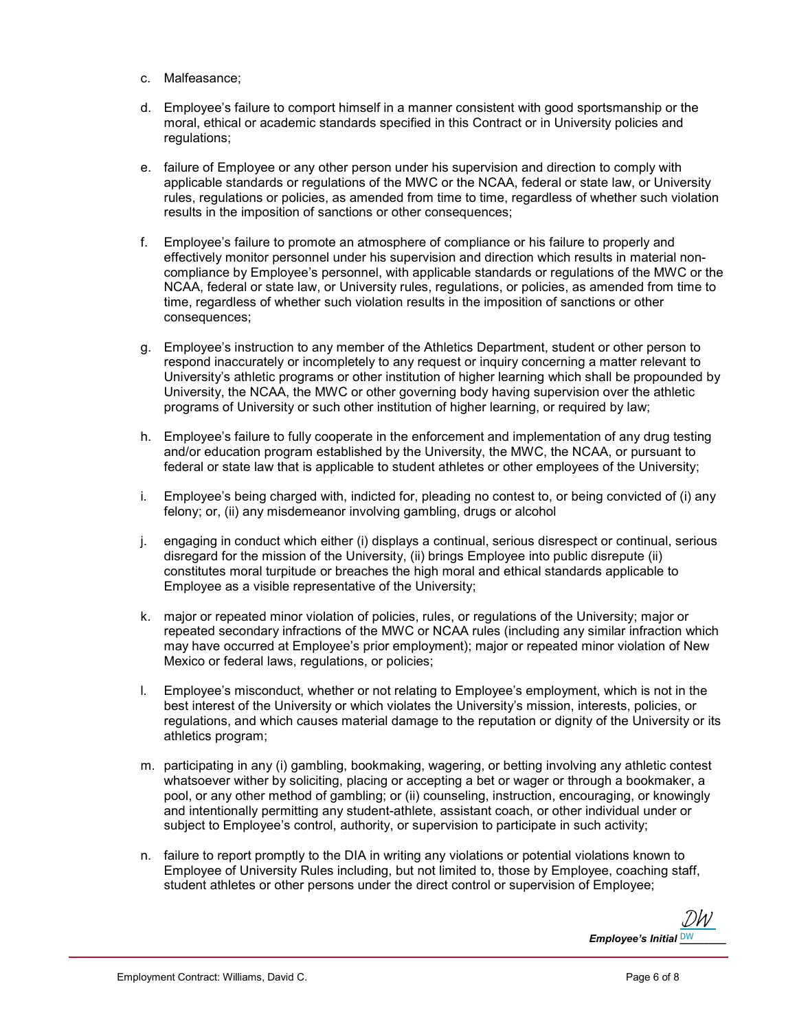- c. Malfeasance;
- d. Employee's failure to comport himself in a manner consistent with good sportsmanship or the moral, ethical or academic standards specified in this Contract or in University policies and regulations;
- e. failure of Employee or any other person under his supervision and direction to comply with applicable standards or regulations of the MWC or the NCAA, federal or state law, or University rules, regulations or policies, as amended from time to time, regardless of whether such violation results in the imposition of sanctions or other consequences;
- f. Employee's failure to promote an atmosphere of compliance or his failure to properly and effectively monitor personnel under his supervision and direction which results in material noncompliance by Employee's personnel, with applicable standards or regulations of the MWC or the NCAA, federal or state law, or University rules, regulations, or policies, as amended from time to time, regardless of whether such violation results in the imposition of sanctions or other consequences;
- g. Employee's instruction to any member of the Athletics Department, student or other person to respond inaccurately or incompletely to any request or inquiry concerning a matter relevant to University's athletic programs or other institution of higher learning which shall be propounded by University, the NCAA, the MWC or other governing body having supervision over the athletic programs of University or such other institution of higher learning, or required by law;
- h. Employee's failure to fully cooperate in the enforcement and implementation of any drug testing and/or education program established by the University, the MWC, the NCAA, or pursuant to federal or state law that is applicable to student athletes or other employees of the University;
- i. Employee's being charged with, indicted for, pleading no contest to, or being convicted of (i) any felony; or, (ii) any misdemeanor involving gambling, drugs or alcohol
- j. engaging in conduct which either (i) displays a continual, serious disrespect or continual, serious disregard for the mission of the University, (ii) brings Employee into public disrepute (ii) constitutes moral turpitude or breaches the high moral and ethical standards applicable to Employee as a visible representative of the University;
- k. major or repeated minor violation of policies, rules, or regulations of the University; major or repeated secondary infractions of the MWC or NCAA rules (including any similar infraction which may have occurred at Employee's prior employment); major or repeated minor violation of New Mexico or federal laws, regulations, or policies;
- l. Employee's misconduct, whether or not relating to Employee's employment, which is not in the best interest of the University or which violates the University's mission, interests, policies, or regulations, and which causes material damage to the reputation or dignity of the University or its athletics program;
- m. participating in any (i) gambling, bookmaking, wagering, or betting involving any athletic contest whatsoever wither by soliciting, placing or accepting a bet or wager or through a bookmaker, a pool, or any other method of gambling; or (ii) counseling, instruction, encouraging, or knowingly and intentionally permitting any student-athlete, assistant coach, or other individual under or subject to Employee's control, authority, or supervision to participate in such activity;
- n. failure to report promptly to the DIA in writing any violations or potential violations known to Employee of University Rules including, but not limited to, those by Employee, coaching staff, student athletes or other persons under the direct control or supervision of Employee;

Employee's Initial <u>DW\_\_\_\_\_\_</u> [DW](https://secure.na2.echosign.com/verifier?tx=CBJCHBCAABAAiNy1Fm5d1bfjwRi0e9XxeUjXQKE8q880)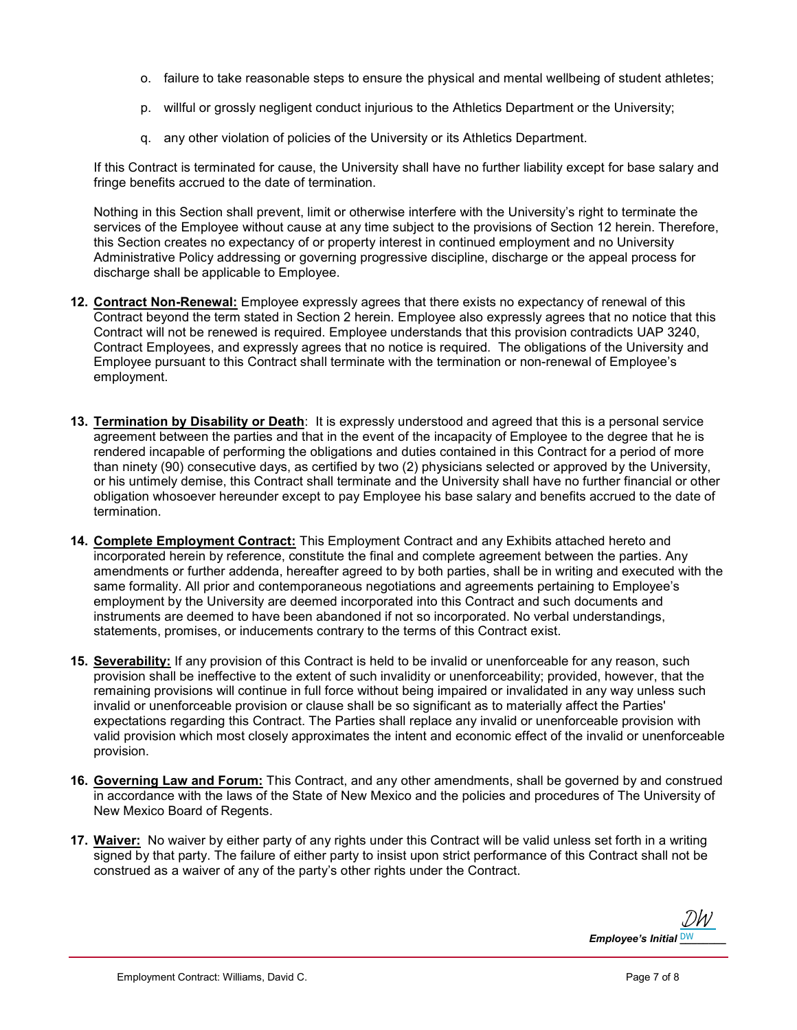- o. failure to take reasonable steps to ensure the physical and mental wellbeing of student athletes;
- p. willful or grossly negligent conduct injurious to the Athletics Department or the University;
- q. any other violation of policies of the University or its Athletics Department.

If this Contract is terminated for cause, the University shall have no further liability except for base salary and fringe benefits accrued to the date of termination.

Nothing in this Section shall prevent, limit or otherwise interfere with the University's right to terminate the services of the Employee without cause at any time subject to the provisions of Section 12 herein. Therefore, this Section creates no expectancy of or property interest in continued employment and no University Administrative Policy addressing or governing progressive discipline, discharge or the appeal process for discharge shall be applicable to Employee.

- 12. Contract Non-Renewal: Employee expressly agrees that there exists no expectancy of renewal of this Contract beyond the term stated in Section 2 herein. Employee also expressly agrees that no notice that this Contract will not be renewed is required. Employee understands that this provision contradicts UAP 3240, Contract Employees, and expressly agrees that no notice is required. The obligations of the University and Employee pursuant to this Contract shall terminate with the termination or non-renewal of Employee's employment.
- 13. Termination by Disability or Death: It is expressly understood and agreed that this is a personal service agreement between the parties and that in the event of the incapacity of Employee to the degree that he is rendered incapable of performing the obligations and duties contained in this Contract for a period of more than ninety (90) consecutive days, as certified by two (2) physicians selected or approved by the University, or his untimely demise, this Contract shall terminate and the University shall have no further financial or other obligation whosoever hereunder except to pay Employee his base salary and benefits accrued to the date of termination.
- 14. Complete Employment Contract: This Employment Contract and any Exhibits attached hereto and incorporated herein by reference, constitute the final and complete agreement between the parties. Any amendments or further addenda, hereafter agreed to by both parties, shall be in writing and executed with the same formality. All prior and contemporaneous negotiations and agreements pertaining to Employee's employment by the University are deemed incorporated into this Contract and such documents and instruments are deemed to have been abandoned if not so incorporated. No verbal understandings, statements, promises, or inducements contrary to the terms of this Contract exist.
- 15. Severability: If any provision of this Contract is held to be invalid or unenforceable for any reason, such provision shall be ineffective to the extent of such invalidity or unenforceability; provided, however, that the remaining provisions will continue in full force without being impaired or invalidated in any way unless such invalid or unenforceable provision or clause shall be so significant as to materially affect the Parties' expectations regarding this Contract. The Parties shall replace any invalid or unenforceable provision with valid provision which most closely approximates the intent and economic effect of the invalid or unenforceable provision.
- 16. Governing Law and Forum: This Contract, and any other amendments, shall be governed by and construed in accordance with the laws of the State of New Mexico and the policies and procedures of The University of New Mexico Board of Regents.
- 17. Waiver: No waiver by either party of any rights under this Contract will be valid unless set forth in a writing signed by that party. The failure of either party to insist upon strict performance of this Contract shall not be construed as a waiver of any of the party's other rights under the Contract.

Employee's Initial <u>DW\_\_\_\_\_\_</u> [DW](https://secure.na2.echosign.com/verifier?tx=CBJCHBCAABAAiNy1Fm5d1bfjwRi0e9XxeUjXQKE8q880)